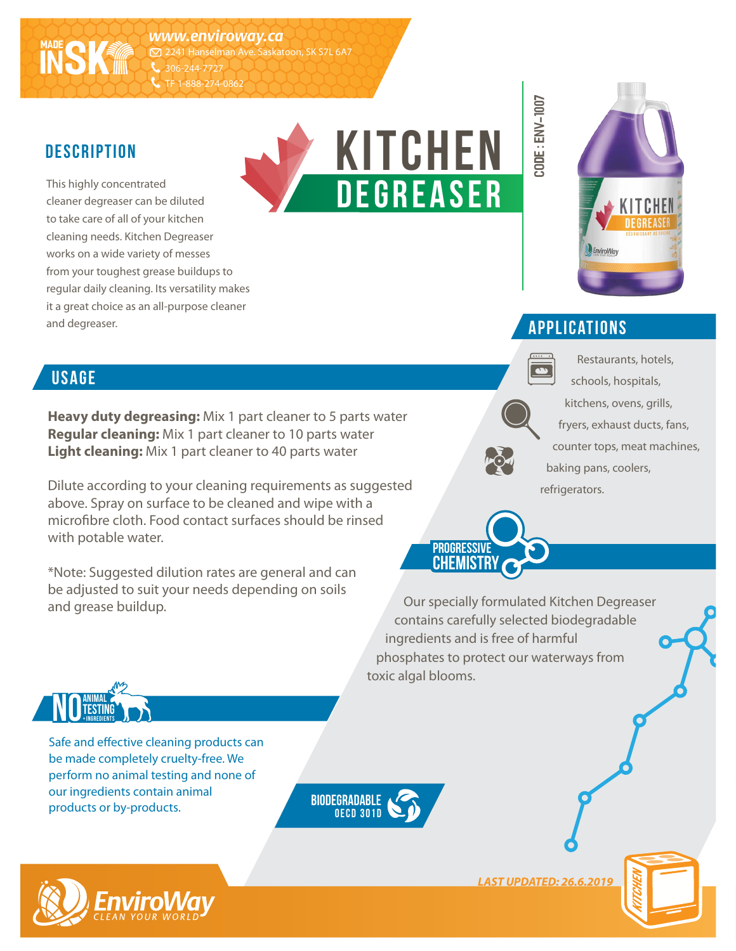*www.enviroway.ca* 2241 Hanselman Ave. Saskatoon, SK S7L 6A7 306-244-7727 TF 1-888-274-0862

#### **description**

**MADE INSK**

This highly concentrated cleaner degreaser can be diluted to take care of all of your kitchen cleaning needs. Kitchen Degreaser works on a wide variety of messes from your toughest grease buildups to regular daily cleaning. Its versatility makes it a great choice as an all-purpose cleaner and degreaser.





Restaurants, hotels, schools, hospitals,

#### **applications**

**CODE : env-1007**

**usage**

**Heavy duty degreasing:** Mix 1 part cleaner to 5 parts water **Regular cleaning:** Mix 1 part cleaner to 10 parts water **Light cleaning:** Mix 1 part cleaner to 40 parts water

Dilute according to your cleaning requirements as suggested above. Spray on surface to be cleaned and wipe with a microfibre cloth. Food contact surfaces should be rinsed with potable water.

\*Note: Suggested dilution rates are general and can be adjusted to suit your needs depending on soils and grease buildup.

# kitchens, ovens, grills, fryers, exhaust ducts, fans, counter tops, meat machines, baking pans, coolers, refrigerators.



Our specially formulated Kitchen Degreaser contains carefully selected biodegradable ingredients and is free of harmful phosphates to protect our waterways from toxic algal blooms.



Safe and effective cleaning products can be made completely cruelty-free. We perform no animal testing and none of our ingredients contain animal products or by-products.





*LAST UPDATED: 26.6.2019*